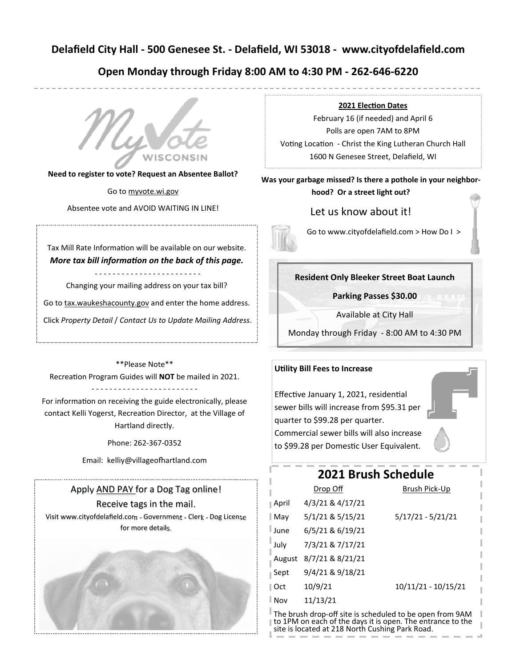# **Delafield City Hall ‐ 500 Genesee St. ‐ Delafield, WI 53018 ‐ www.cityofdelafield.com**

# **Open Monday through Friday 8:00 AM to 4:30 PM ‐ 262‐646‐6220**



**Need to register to vote? Request an Absentee Ballot?** 

Go to myvote.wi.gov

Absentee vote and AVOID WAITING IN LINE!

Tax Mill Rate Information will be available on our website. *More tax bill information on the back of this page.* 

‐ ‐ ‐ ‐ ‐ ‐ ‐ ‐ ‐ ‐ ‐ ‐ ‐ ‐ ‐ ‐ ‐ ‐ ‐ ‐ ‐ ‐ ‐ ‐

Changing your mailing address on your tax bill?

Go to tax.waukeshacounty.gov and enter the home address.

Click *Property Detail* / *Contact Us to Update Mailing Address*.

\*\*Please Note\*\*

RecreaƟon Program Guides will **NOT** be mailed in 2021.

#### ‐ ‐ ‐ ‐ ‐ ‐ ‐ ‐ ‐ ‐ ‐ ‐ ‐ ‐ ‐ ‐ ‐ ‐ ‐ ‐ ‐ ‐ ‐ ‐

For information on receiving the guide electronically, please contact Kelli Yogerst, Recreation Director, at the Village of Hartland directly.

Phone: 262‐367‐0352

Email: kelliy@villageofhartland.com

# Apply AND PAY for a Dog Tag online!

### Receive tags in the mail.

Visit www.cityofdelafield.com ‐ Government ‐ Clerk ‐ Dog License for more details.



#### **2021 ElecƟon Dates**

February 16 (if needed) and April 6 Polls are open 7AM to 8PM Voting Location - Christ the King Lutheran Church Hall 1600 N Genesee Street, Delafield, WI

### **Was your garbage missed? Is there a pothole in your neighbor‐ hood? Or a street light out?**

### Let us know about it!

Go to www.cityofdelafield.com > How Do I >

### **Resident Only Bleeker Street Boat Launch**

**Parking Passes \$30.00** 

Available at City Hall

Monday through Friday ‐ 8:00 AM to 4:30 PM

#### **Utility Bill Fees to Increase**

Effective January 1, 2021, residential sewer bills will increase from \$95.31 per quarter to \$99.28 per quarter. Commercial sewer bills will also increase to \$99.28 per Domestic User Equivalent.

# **2021 Brush Schedule**

| I                                                        | Drop Off         | Brush Pick-Up       |  |  |
|----------------------------------------------------------|------------------|---------------------|--|--|
| $\parallel$ April                                        | 4/3/21 & 4/17/21 |                     |  |  |
| $\parallel$ May                                          | 5/1/21 & 5/15/21 | $5/17/21 - 5/21/21$ |  |  |
| <sup>l</sup> June                                        | 6/5/21 & 6/19/21 |                     |  |  |
| July                                                     | 7/3/21 & 7/17/21 |                     |  |  |
| $\mathbb{R}$ August                                      | 8/7/21 & 8/21/21 |                     |  |  |
| $\parallel$ Sept                                         | 9/4/21 & 9/18/21 |                     |  |  |
| ∥ Oct                                                    | 10/9/21          | 10/11/21 - 10/15/21 |  |  |
| ∣Nov                                                     | 11/13/21         |                     |  |  |
| The brush drop-off site is scheduled to be open from 9AM |                  |                     |  |  |

to 1PM on each of the days it is open. The entrance to the

site is located at 218 North Cushing Park Road.